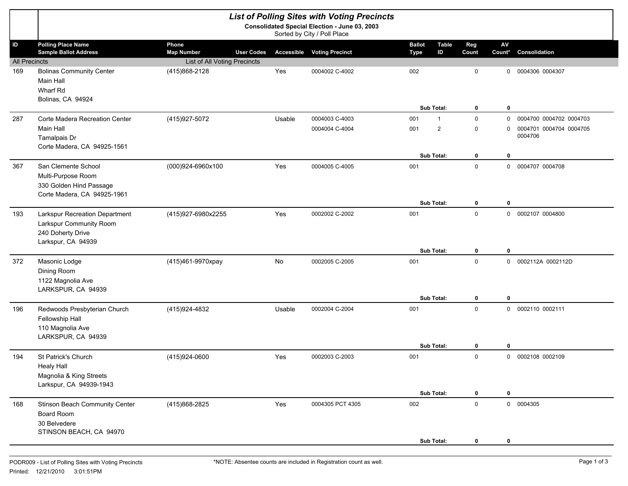|                                                                              |                                                                                                      |                              |                   | <b>List of Polling Sites with Voting Precincts</b> |                                                    |                         |                         |                                                               |  |
|------------------------------------------------------------------------------|------------------------------------------------------------------------------------------------------|------------------------------|-------------------|----------------------------------------------------|----------------------------------------------------|-------------------------|-------------------------|---------------------------------------------------------------|--|
| Consolidated Special Election - June 03, 2003<br>Sorted by City / Poll Place |                                                                                                      |                              |                   |                                                    |                                                    |                         |                         |                                                               |  |
| ID                                                                           | <b>Polling Place Name</b><br><b>Sample Ballot Address</b>                                            | Phone<br><b>Map Number</b>   | <b>User Codes</b> | <b>Accessible Voting Precinct</b>                  | <b>Ballot</b><br><b>Table</b><br>ID<br><b>Type</b> | Reg<br>Count            | AV<br>Count*            | Consolidation                                                 |  |
| <b>All Precincts</b>                                                         |                                                                                                      | List of All Voting Precincts |                   |                                                    |                                                    |                         |                         |                                                               |  |
| 169                                                                          | <b>Bolinas Community Center</b><br>Main Hall<br>Wharf Rd<br>Bolinas, CA 94924                        | (415)868-2128                | Yes               | 0004002 C-4002                                     | 002                                                | $\mathbf 0$             | 0                       | 0004306 0004307                                               |  |
|                                                                              |                                                                                                      |                              |                   |                                                    | Sub Total:                                         | $\bf{0}$                | $\mathbf 0$             |                                                               |  |
| 287                                                                          | Corte Madera Recreation Center<br><b>Main Hall</b><br>Tamalpais Dr<br>Corte Madera, CA 94925-1561    | (415) 927-5072               | Usable            | 0004003 C-4003<br>0004004 C-4004                   | 001<br>$\mathbf{1}$<br>$\overline{2}$<br>001       | $\mathbf 0$<br>0        | $\mathbf 0$<br>$\Omega$ | 0004700 0004702 0004703<br>0004701 0004704 0004705<br>0004706 |  |
|                                                                              |                                                                                                      |                              |                   |                                                    | Sub Total:                                         | $\bf{0}$                | $\mathbf 0$             |                                                               |  |
| 367                                                                          | San Clemente School<br>Multi-Purpose Room<br>330 Golden Hind Passage<br>Corte Madera, CA 94925-1961  | (000)924-6960x100            | Yes               | 0004005 C-4005                                     | 001                                                | $\mathbf 0$             |                         | 0 0004707 0004708                                             |  |
|                                                                              |                                                                                                      |                              |                   |                                                    | Sub Total:                                         | $\bf{0}$                | $\mathbf 0$             |                                                               |  |
| 193                                                                          | Larkspur Recreation Department<br>Larkspur Community Room<br>240 Doherty Drive<br>Larkspur, CA 94939 | (415)927-6980x2255           | Yes               | 0002002 C-2002                                     | 001<br>Sub Total:                                  | $\mathbf 0$<br>$\bf{0}$ | $\mathbf 0$             | 0 0002107 0004800                                             |  |
| 372                                                                          | Masonic Lodge<br>Dining Room<br>1122 Magnolia Ave<br>LARKSPUR, CA 94939                              | (415)461-9970xpay            | No                | 0002005 C-2005                                     | 001<br>Sub Total:                                  | $\mathbf 0$<br>$\bf{0}$ | $\mathbf 0$             | 0 0002112A 0002112D                                           |  |
| 196                                                                          | Redwoods Presbyterian Church<br>Fellowship Hall<br>110 Magnolia Ave<br>LARKSPUR, CA 94939            | (415)924-4832                | Usable            | 0002004 C-2004                                     | 001<br>Sub Total:                                  | $\mathbf 0$<br>0        | $\mathbf 0$             | 0 0002110 0002111                                             |  |
| 194                                                                          | St Patrick's Church<br><b>Healy Hall</b><br>Magnolia & King Streets<br>Larkspur, CA 94939-1943       | (415)924-0600                | Yes               | 0002003 C-2003                                     | 001                                                | $\mathbf 0$             | $\mathbf{0}$            | 0002108 0002109                                               |  |
|                                                                              |                                                                                                      |                              |                   |                                                    | Sub Total:                                         | $\mathbf 0$             | $\mathbf 0$             |                                                               |  |
| 168                                                                          | Stinson Beach Community Center<br>Board Room<br>30 Belvedere<br>STINSON BEACH, CA 94970              | (415)868-2825                | Yes               | 0004305 PCT 4305                                   | 002<br>Sub Total:                                  | $\mathsf 0$<br>0        | 0                       | 0 0004305                                                     |  |
|                                                                              |                                                                                                      |                              |                   |                                                    |                                                    |                         |                         |                                                               |  |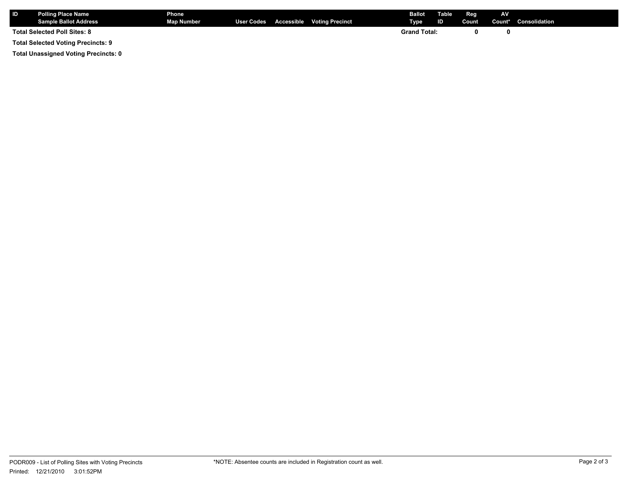| <b>ID</b>                                 | <b>Polling Place Name</b><br><b>Sample Ballot Address</b> | <b>Phone</b><br><b>Map Number</b> |  |  | User Codes Accessible Voting Precinct | <b>Ballot</b> Table<br>Type | ID | Reg<br>Count | <b>AV</b> | Count* Consolidation |
|-------------------------------------------|-----------------------------------------------------------|-----------------------------------|--|--|---------------------------------------|-----------------------------|----|--------------|-----------|----------------------|
| <b>Total Selected Poll Sites: 8</b>       |                                                           |                                   |  |  |                                       | <b>Grand Total:</b>         |    |              |           |                      |
| <b>Total Selected Voting Precincts: 9</b> |                                                           |                                   |  |  |                                       |                             |    |              |           |                      |

**Total Unassigned Voting Precincts: 0**